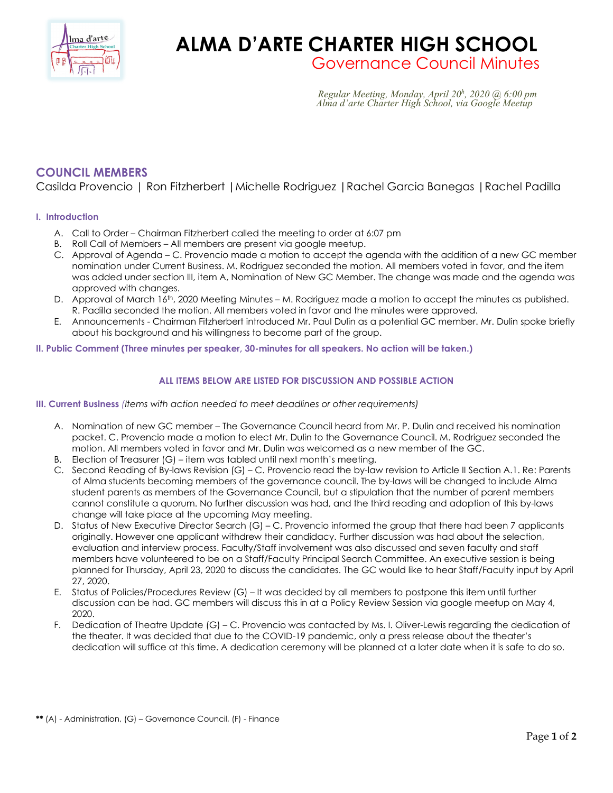

# **ALMA D'ARTE CHARTER HIGH SCHOOL** Governance Council Minutes

*Regular Meeting, Monday, April* 20<sup>h</sup>, 2020 @ 6:00 pm *, 2020 @ 6:00 pm Alma d'arte Charter High School, via Google Meetup*

# **COUNCIL MEMBERS**

Casilda Provencio | Ron Fitzherbert |Michelle Rodriguez |Rachel Garcia Banegas |Rachel Padilla

## **I. Introduction**

- A. Call to Order Chairman Fitzherbert called the meeting to order at 6:07 pm
- B. Roll Call of Members All members are present via google meetup.
- C. Approval of Agenda C. Provencio made a motion to accept the agenda with the addition of a new GC member nomination under Current Business. M. Rodriguez seconded the motion. All members voted in favor, and the item was added under section III, item A, Nomination of New GC Member. The change was made and the agenda was approved with changes.
- D. Approval of March 16<sup>th</sup>, 2020 Meeting Minutes M. Rodriguez made a motion to accept the minutes as published. R. Padilla seconded the motion. All members voted in favor and the minutes were approved.
- E. Announcements Chairman Fitzherbert introduced Mr. Paul Dulin as a potential GC member. Mr. Dulin spoke briefly about his background and his willingness to become part of the group.
- **II. Public Comment (Three minutes per speaker, 30-minutes for all speakers. No action will be taken.)**

# **ALL ITEMS BELOW ARE LISTED FOR DISCUSSION AND POSSIBLE ACTION**

**III. Current Business** *(Items with action needed to meet deadlines or other requirements)*

- A. Nomination of new GC member The Governance Council heard from Mr. P. Dulin and received his nomination packet. C. Provencio made a motion to elect Mr. Dulin to the Governance Council. M. Rodriguez seconded the motion. All members voted in favor and Mr. Dulin was welcomed as a new member of the GC.
- B. Election of Treasurer (G) item was tabled until next month's meeting.
- C. Second Reading of By-laws Revision (G) C. Provencio read the by-law revision to Article II Section A.1. Re: Parents of Alma students becoming members of the governance council. The by-laws will be changed to include Alma student parents as members of the Governance Council, but a stipulation that the number of parent members cannot constitute a quorum. No further discussion was had, and the third reading and adoption of this by-laws change will take place at the upcoming May meeting.
- D. Status of New Executive Director Search (G) C. Provencio informed the group that there had been 7 applicants originally. However one applicant withdrew their candidacy. Further discussion was had about the selection, evaluation and interview process. Faculty/Staff involvement was also discussed and seven faculty and staff members have volunteered to be on a Staff/Faculty Principal Search Committee. An executive session is being planned for Thursday, April 23, 2020 to discuss the candidates. The GC would like to hear Staff/Faculty input by April 27, 2020.
- E. Status of Policies/Procedures Review (G) It was decided by all members to postpone this item until further discussion can be had. GC members will discuss this in at a Policy Review Session via google meetup on May 4, 2020.
- F. Dedication of Theatre Update (G) C. Provencio was contacted by Ms. I. Oliver-Lewis regarding the dedication of the theater. It was decided that due to the COVID-19 pandemic, only a press release about the theater's dedication will suffice at this time. A dedication ceremony will be planned at a later date when it is safe to do so.